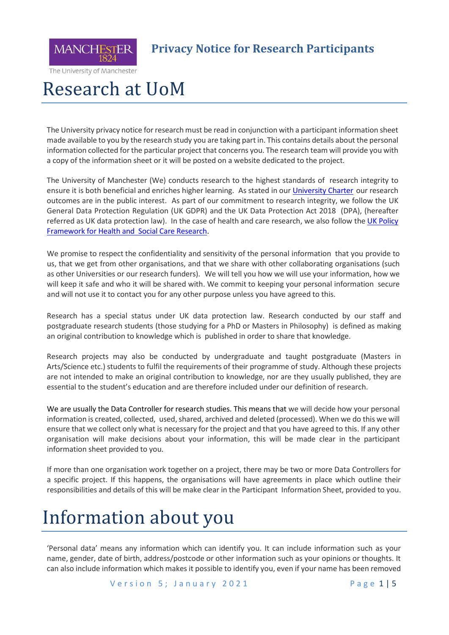

#### **Privacy Notice for Research Participants**

The University of Manchester

## Research at UoM

The University privacy notice for research must be read in conjunction with a participant information sheet made available to you by the research study you are taking part in. This contains details about the personal information collected for the particular project that concerns you. The research team will provide you with a copy of the information sheet or it will be posted on a website dedicated to the project.

The University of Manchester (We) conducts research to the highest standards of research integrity to ensure it is both beneficial and enriches higher learning. As stated in our [University Charter](http://documents.manchester.ac.uk/display.aspx?DocID=16239) our research outcomes are in the public interest. As part of our commitment to research integrity, we follow the UK General Data Protection Regulation (UK GDPR) and the UK Data Protection Act 2018 (DPA), (hereafter referred as UK data protection law). In the case of health and care research, we also follow the [UK Policy](https://www.hra.nhs.uk/documents/1068/uk-policy-framework-health-social-care-research.pdf) [Framework](https://www.hra.nhs.uk/documents/1068/uk-policy-framework-health-social-care-research.pdf) for Health and Social Care Research.

We promise to respect the confidentiality and sensitivity of the personal information that you provide to us, that we get from other organisations, and that we share with other collaborating organisations (such as other Universities or our research funders). We will tell you how we will use your information, how we will keep it safe and who it will be shared with. We commit to keeping your personal information secure and will not use it to contact you for any other purpose unless you have agreed to this.

Research has a special status under UK data protection law. Research conducted by our staff and postgraduate research students (those studying for a PhD or Masters in Philosophy) is defined as making an original contribution to knowledge which is published in order to share that knowledge.

Research projects may also be conducted by undergraduate and taught postgraduate (Masters in Arts/Science etc.) students to fulfil the requirements of their programme of study. Although these projects are not intended to make an original contribution to knowledge, nor are they usually published, they are essential to the student's education and are therefore included under our definition of research.

We are usually the Data Controller for research studies. This means that we will decide how your personal information is created, collected, used, shared, archived and deleted (processed). When we do this we will ensure that we collect only what is necessary for the project and that you have agreed to this. If any other organisation will make decisions about your information, this will be made clear in the participant information sheet provided to you.

If more than one organisation work together on a project, there may be two or more Data Controllers for a specific project. If this happens, the organisations will have agreements in place which outline their responsibilities and details of this will be make clear in the Participant Information Sheet, provided to you.

#### Information about you

'Personal data' means any information which can identify you. It can include information such as your name, gender, date of birth, address/postcode or other information such as your opinions or thoughts. It can also include information which makes it possible to identify you, even if your name has been removed

Version 5; January 2021 Page 1 | 5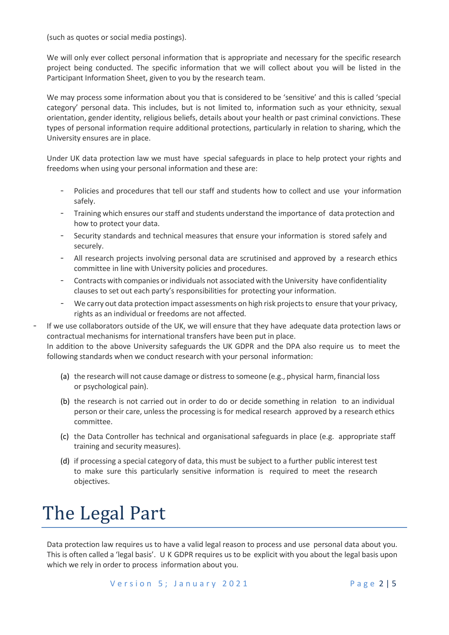(such as quotes or social media postings).

We will only ever collect personal information that is appropriate and necessary for the specific research project being conducted. The specific information that we will collect about you will be listed in the Participant Information Sheet, given to you by the research team.

We may process some information about you that is considered to be 'sensitive' and this is called 'special category' personal data. This includes, but is not limited to, information such as your ethnicity, sexual orientation, gender identity, religious beliefs, details about your health or past criminal convictions. These types of personal information require additional protections, particularly in relation to sharing, which the University ensures are in place.

Under UK data protection law we must have special safeguards in place to help protect your rights and freedoms when using your personal information and these are:

- Policies and procedures that tell our staff and students how to collect and use your information safely.
- Training which ensures our staff and students understand the importance of data protection and how to protect your data.
- Security standards and technical measures that ensure your information is stored safely and securely.
- All research projects involving personal data are scrutinised and approved by a research ethics committee in line with University policies and procedures.
- Contracts with companies or individuals not associated with the University have confidentiality clauses to set out each party's responsibilities for protecting your information.
- We carry out data protection impact assessments on high risk projects to ensure that your privacy, rights as an individual or freedoms are not affected.

If we use collaborators outside of the UK, we will ensure that they have adequate data protection laws or contractual mechanisms for international transfers have been put in place. In addition to the above University safeguards the UK GDPR and the DPA also require us to meet the following standards when we conduct research with your personal information:

- (a) the research will not cause damage or distress to someone (e.g., physical harm, financial loss or psychological pain).
- (b) the research is not carried out in order to do or decide something in relation to an individual person or their care, unless the processing is for medical research approved by a research ethics committee.
- (c) the Data Controller has technical and organisational safeguards in place (e.g. appropriate staff training and security measures).
- (d) if processing a special category of data, this must be subject to a further public interest test to make sure this particularly sensitive information is required to meet the research objectives.

## The Legal Part

Data protection law requires us to have a valid legal reason to process and use personal data about you. This is often called a 'legal basis'. U K GDPR requires us to be explicit with you about the legal basis upon which we rely in order to process information about you.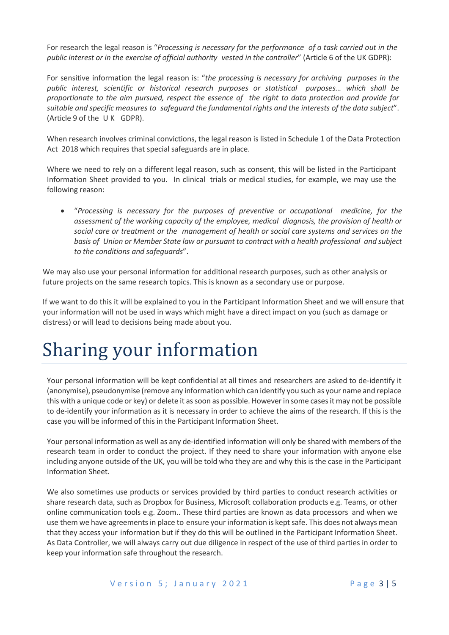For research the legal reason is "*Processing is necessary for the performance of a task carried out in the public interest or in the exercise of official authority vested in the controller*" (Article 6 of the UK GDPR):

For sensitive information the legal reason is: "*the processing is necessary for archiving purposes in the public interest, scientific or historical research purposes or statistical purposes… which shall be proportionate to the aim pursued, respect the essence of the right to data protection and provide for suitable and specific measures to safeguard the fundamental rights and the interests of the data subject*". (Article 9 of the U K GDPR).

When research involves criminal convictions, the legal reason is listed in Schedule 1 of the Data Protection Act 2018 which requires that special safeguards are in place.

Where we need to rely on a different legal reason, such as consent, this will be listed in the Participant Information Sheet provided to you. In clinical trials or medical studies, for example, we may use the following reason:

 "*Processing is necessary for the purposes of preventive or occupational medicine, for the assessment of the working capacity of the employee, medical diagnosis, the provision of health or social care or treatment or the management of health or social care systems and services on the basis of Union or Member State law or pursuant to contract with a health professional and subject to the conditions and safeguards*".

We may also use your personal information for additional research purposes, such as other analysis or future projects on the same research topics. This is known as a secondary use or purpose.

If we want to do this it will be explained to you in the Participant Information Sheet and we will ensure that your information will not be used in ways which might have a direct impact on you (such as damage or distress) or will lead to decisions being made about you.

#### Sharing your information

Your personal information will be kept confidential at all times and researchers are asked to de-identify it (anonymise), pseudonymise (remove any information which can identify you such as your name and replace this with a unique code or key) or delete it as soon as possible. However in some cases it may not be possible to de-identify your information as it is necessary in order to achieve the aims of the research. If this is the case you will be informed of this in the Participant Information Sheet.

Your personal information as well as any de-identified information will only be shared with members of the research team in order to conduct the project. If they need to share your information with anyone else including anyone outside of the UK, you will be told who they are and why this is the case in the Participant Information Sheet.

We also sometimes use products or services provided by third parties to conduct research activities or share research data, such as Dropbox for Business, Microsoft collaboration products e.g. Teams, or other online communication tools e.g. Zoom.. These third parties are known as data processors and when we use them we have agreements in place to ensure your information is kept safe. This does not always mean that they access your information but if they do this will be outlined in the Participant Information Sheet. As Data Controller, we will always carry out due diligence in respect of the use of third parties in order to keep your information safe throughout the research.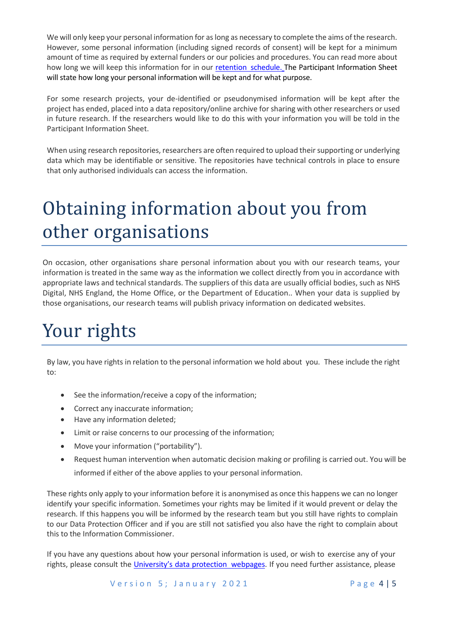We will only keep your personal information for as long as necessary to complete the aims of the research. However, some personal information (including signed records of consent) will be kept for a minimum amount of time as required by external funders or our policies and procedures. You can read more about how long we will keep this information for in our [retention](http://documents.manchester.ac.uk/display.aspx?DocID=6514) schedule. The Participant Information Sheet will state how long your personal information will be kept and for what purpose.

For some research projects, your de-identified or pseudonymised information will be kept after the project has ended, placed into a data repository/online archive for sharing with other researchers or used in future research. If the researchers would like to do this with your information you will be told in the Participant Information Sheet.

When using research repositories, researchers are often required to upload their supporting or underlying data which may be identifiable or sensitive. The repositories have technical controls in place to ensure that only authorised individuals can access the information.

# Obtaining information about you from other organisations

On occasion, other organisations share personal information about you with our research teams, your information is treated in the same way as the information we collect directly from you in accordance with appropriate laws and technical standards. The suppliers of this data are usually official bodies, such as NHS Digital, NHS England, the Home Office, or the Department of Education.. When your data is supplied by those organisations, our research teams will publish privacy information on dedicated websites.

## Your rights

By law, you have rights in relation to the personal information we hold about you. These include the right to:

- See the information/receive a copy of the information;
- Correct any inaccurate information;
- Have any information deleted;
- Limit or raise concerns to our processing of the information;
- Move your information ("portability").
- Request human intervention when automatic decision making or profiling is carried out. You will be informed if either of the above applies to your personal information.

These rights only apply to your information before it is anonymised as once this happens we can no longer identify your specific information. Sometimes your rights may be limited if it would prevent or delay the research. If this happens you will be informed by the research team but you still have rights to complain to our Data Protection Officer and if you are still not satisfied you also have the right to complain about this to the Information Commissioner.

If you have any questions about how your personal information is used, or wish to exercise any of your rights, please consult the [University's](https://www.manchester.ac.uk/discover/privacy-information/data-protection/your-rights/) data protection webpages. If you need further assistance, please